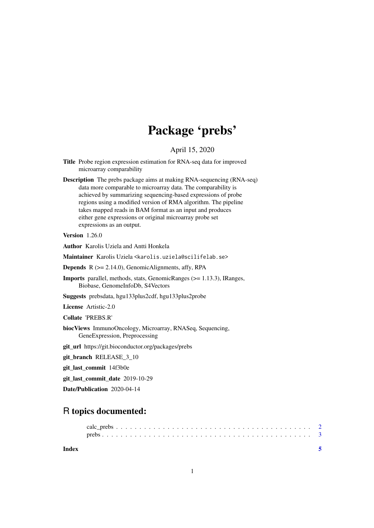## Package 'prebs'

#### April 15, 2020

- Title Probe region expression estimation for RNA-seq data for improved microarray comparability
- Description The prebs package aims at making RNA-sequencing (RNA-seq) data more comparable to microarray data. The comparability is achieved by summarizing sequencing-based expressions of probe regions using a modified version of RMA algorithm. The pipeline takes mapped reads in BAM format as an input and produces either gene expressions or original microarray probe set expressions as an output.

#### Version 1.26.0

Author Karolis Uziela and Antti Honkela

Maintainer Karolis Uziela <karolis.uziela@scilifelab.se>

**Depends**  $R$  ( $>= 2.14.0$ ), GenomicAlignments, affy, RPA

Imports parallel, methods, stats, GenomicRanges (>= 1.13.3), IRanges, Biobase, GenomeInfoDb, S4Vectors

Suggests prebsdata, hgu133plus2cdf, hgu133plus2probe

License Artistic-2.0

Collate 'PREBS.R'

biocViews ImmunoOncology, Microarray, RNASeq, Sequencing, GeneExpression, Preprocessing

git\_url https://git.bioconductor.org/packages/prebs

git\_branch RELEASE\_3\_10

git\_last\_commit 14f3b0e

git last commit date 2019-10-29

Date/Publication 2020-04-14

### R topics documented:

| Index |  |  |  |  |  |  |  |  |  |  |  |  |  |  |  |  |  |  |  |  |
|-------|--|--|--|--|--|--|--|--|--|--|--|--|--|--|--|--|--|--|--|--|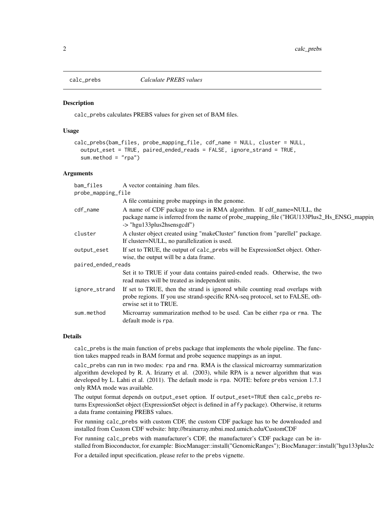<span id="page-1-0"></span>

#### Description

calc\_prebs calculates PREBS values for given set of BAM files.

#### Usage

```
calc_prebs(bam_files, probe_mapping_file, cdf_name = NULL, cluster = NULL,
output_eset = TRUE, paired_ended_reads = FALSE, ignore_strand = TRUE,
 sum.method = "rpa")
```
#### Arguments

| bam_files          | A vector containing bam files.                                                                                                                                                                  |  |  |  |  |  |  |  |  |
|--------------------|-------------------------------------------------------------------------------------------------------------------------------------------------------------------------------------------------|--|--|--|--|--|--|--|--|
| probe_mapping_file |                                                                                                                                                                                                 |  |  |  |  |  |  |  |  |
|                    | A file containing probe mappings in the genome.                                                                                                                                                 |  |  |  |  |  |  |  |  |
| cdf_name           | A name of CDF package to use in RMA algorithm. If cdf_name=NULL, the<br>package name is inferred from the name of probe_mapping_file ("HGU133Plus2_Hs_ENSG_mappin<br>-> "hgu133plus2hsensgcdf") |  |  |  |  |  |  |  |  |
| cluster            | A cluster object created using "makeCluster" function from "parellel" package.<br>If cluster=NULL, no parallelization is used.                                                                  |  |  |  |  |  |  |  |  |
| output_eset        | If set to TRUE, the output of calc_prebs will be ExpressionSet object. Other-<br>wise, the output will be a data frame.                                                                         |  |  |  |  |  |  |  |  |
| paired_ended_reads |                                                                                                                                                                                                 |  |  |  |  |  |  |  |  |
|                    | Set it to TRUE if your data contains paired-ended reads. Otherwise, the two<br>read mates will be treated as independent units.                                                                 |  |  |  |  |  |  |  |  |
| ignore_strand      | If set to TRUE, then the strand is ignored while counting read overlaps with<br>probe regions. If you use strand-specific RNA-seq protocol, set to FALSE, oth-<br>erwise set it to TRUE.        |  |  |  |  |  |  |  |  |
| sum.method         | Microarray summarization method to be used. Can be either rpa or rma. The<br>default mode is rpa.                                                                                               |  |  |  |  |  |  |  |  |
|                    |                                                                                                                                                                                                 |  |  |  |  |  |  |  |  |

#### Details

calc\_prebs is the main function of prebs package that implements the whole pipeline. The function takes mapped reads in BAM format and probe sequence mappings as an input.

calc\_prebs can run in two modes: rpa and rma. RMA is the classical microarray summarization algorithm developed by R. A. Irizarry et al. (2003), while RPA is a newer algorithm that was developed by L. Lahti et al. (2011). The default mode is rpa. NOTE: before prebs version 1.7.1 only RMA mode was available.

The output format depends on output\_eset option. If output\_eset=TRUE then calc\_prebs returns ExpressionSet object (ExpressionSet object is defined in affy package). Otherwise, it returns a data frame containing PREBS values.

For running calc\_prebs with custom CDF, the custom CDF package has to be downloaded and installed from Custom CDF website: http://brainarray.mbni.med.umich.edu/CustomCDF

For running calc\_prebs with manufacturer's CDF, the manufacturer's CDF package can be installed from Bioconductor, for example: BiocManager::install("GenomicRanges"); BiocManager::install("hgu133plus2c

For a detailed input specification, please refer to the prebs vignette.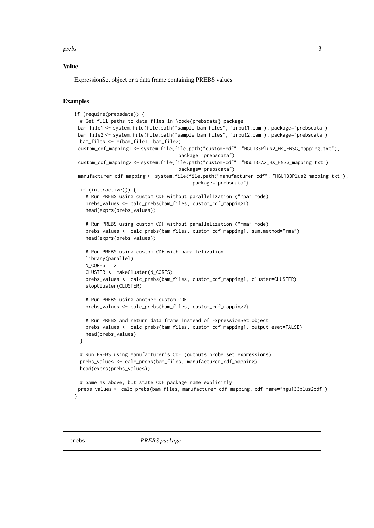<span id="page-2-0"></span>prebs 3

#### Value

ExpressionSet object or a data frame containing PREBS values

#### Examples

```
if (require(prebsdata)) {
# Get full paths to data files in \code{prebsdata} package
bam_file1 <- system.file(file.path("sample_bam_files", "input1.bam"), package="prebsdata")
bam_file2 <- system.file(file.path("sample_bam_files", "input2.bam"), package="prebsdata")
bam_files <- c(bam_file1, bam_file2)
custom_cdf_mapping1 <- system.file(file.path("custom-cdf", "HGU133Plus2_Hs_ENSG_mapping.txt"),
                                    package="prebsdata")
custom_cdf_mapping2 <- system.file(file.path("custom-cdf", "HGU133A2_Hs_ENSG_mapping.txt"),
                                    package="prebsdata")
manufacturer_cdf_mapping <- system.file(file.path("manufacturer-cdf", "HGU133Plus2_mapping.txt"),
                                         package="prebsdata")
if (interactive()) {
  # Run PREBS using custom CDF without parallelization ("rpa" mode)
  prebs_values <- calc_prebs(bam_files, custom_cdf_mapping1)
  head(exprs(prebs_values))
  # Run PREBS using custom CDF without parallelization ("rma" mode)
  prebs_values <- calc_prebs(bam_files, custom_cdf_mapping1, sum.method="rma")
  head(exprs(prebs_values))
  # Run PREBS using custom CDF with parallelization
  library(parallel)
  N CORES = 2CLUSTER <- makeCluster(N_CORES)
  prebs_values <- calc_prebs(bam_files, custom_cdf_mapping1, cluster=CLUSTER)
  stopCluster(CLUSTER)
  # Run PREBS using another custom CDF
  prebs_values <- calc_prebs(bam_files, custom_cdf_mapping2)
  # Run PREBS and return data frame instead of ExpressionSet object
  prebs_values <- calc_prebs(bam_files, custom_cdf_mapping1, output_eset=FALSE)
  head(prebs_values)
}
# Run PREBS using Manufacturer's CDF (outputs probe set expressions)
prebs_values <- calc_prebs(bam_files, manufacturer_cdf_mapping)
head(exprs(prebs_values))
# Same as above, but state CDF package name explicitly
prebs_values <- calc_prebs(bam_files, manufacturer_cdf_mapping, cdf_name="hgu133plus2cdf")
```
}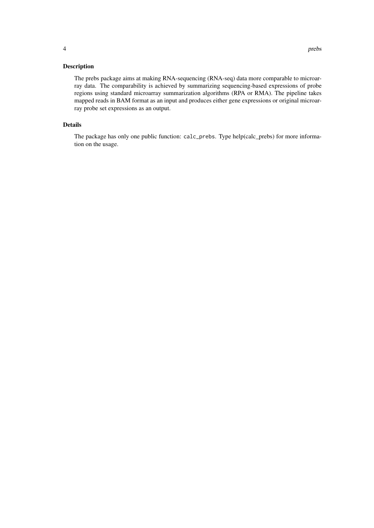#### Description

The prebs package aims at making RNA-sequencing (RNA-seq) data more comparable to microarray data. The comparability is achieved by summarizing sequencing-based expressions of probe regions using standard microarray summarization algorithms (RPA or RMA). The pipeline takes mapped reads in BAM format as an input and produces either gene expressions or original microarray probe set expressions as an output.

#### Details

The package has only one public function: calc\_prebs. Type help(calc\_prebs) for more information on the usage.